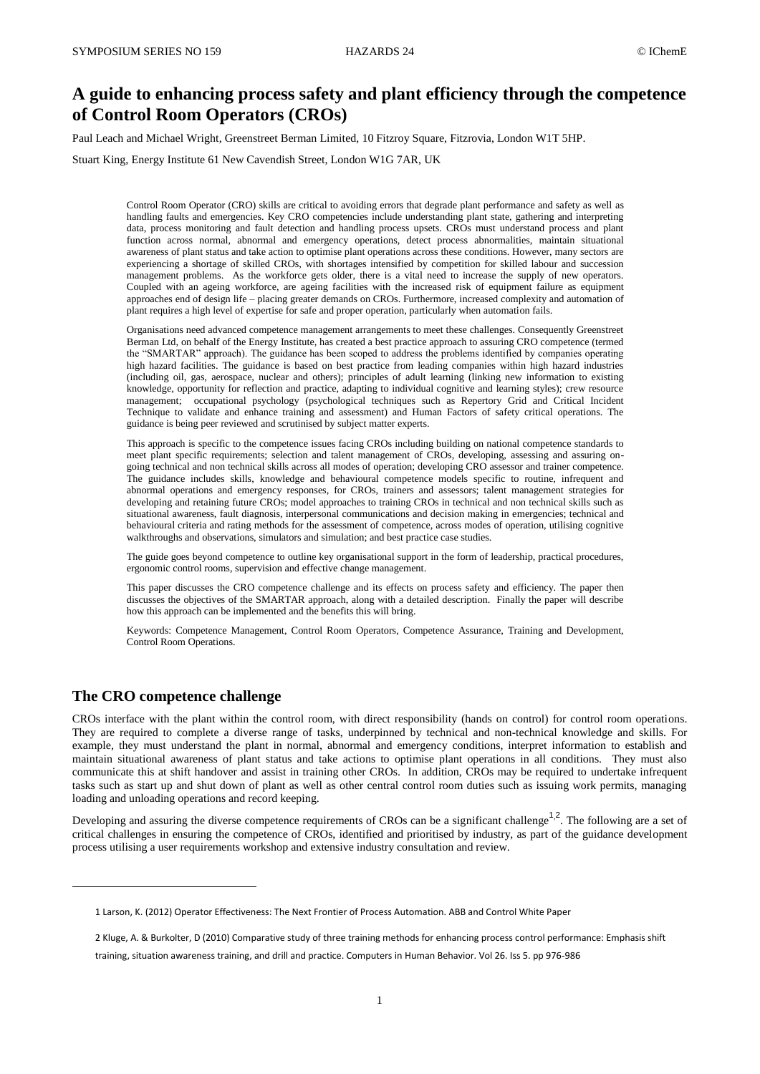# **A guide to enhancing process safety and plant efficiency through the competence of Control Room Operators (CROs)**

Paul Leach and Michael Wright, Greenstreet Berman Limited, 10 Fitzroy Square, Fitzrovia, London W1T 5HP.

Stuart King, Energy Institute 61 New Cavendish Street, London W1G 7AR, UK

Control Room Operator (CRO) skills are critical to avoiding errors that degrade plant performance and safety as well as handling faults and emergencies. Key CRO competencies include understanding plant state, gathering and interpreting data, process monitoring and fault detection and handling process upsets. CROs must understand process and plant function across normal, abnormal and emergency operations, detect process abnormalities, maintain situational awareness of plant status and take action to optimise plant operations across these conditions. However, many sectors are experiencing a shortage of skilled CROs, with shortages intensified by competition for skilled labour and succession management problems. As the workforce gets older, there is a vital need to increase the supply of new operators. Coupled with an ageing workforce, are ageing facilities with the increased risk of equipment failure as equipment approaches end of design life – placing greater demands on CROs. Furthermore, increased complexity and automation of plant requires a high level of expertise for safe and proper operation, particularly when automation fails.

Organisations need advanced competence management arrangements to meet these challenges. Consequently Greenstreet Berman Ltd, on behalf of the Energy Institute, has created a best practice approach to assuring CRO competence (termed the "SMARTAR" approach). The guidance has been scoped to address the problems identified by companies operating high hazard facilities. The guidance is based on best practice from leading companies within high hazard industries (including oil, gas, aerospace, nuclear and others); principles of adult learning (linking new information to existing knowledge, opportunity for reflection and practice, adapting to individual cognitive and learning styles); crew resource management; occupational psychology (psychological techniques such as Repertory Grid and Critical Incident Technique to validate and enhance training and assessment) and Human Factors of safety critical operations. The guidance is being peer reviewed and scrutinised by subject matter experts.

This approach is specific to the competence issues facing CROs including building on national competence standards to meet plant specific requirements; selection and talent management of CROs, developing, assessing and assuring ongoing technical and non technical skills across all modes of operation; developing CRO assessor and trainer competence. The guidance includes skills, knowledge and behavioural competence models specific to routine, infrequent and abnormal operations and emergency responses, for CROs, trainers and assessors; talent management strategies for developing and retaining future CROs; model approaches to training CROs in technical and non technical skills such as situational awareness, fault diagnosis, interpersonal communications and decision making in emergencies; technical and behavioural criteria and rating methods for the assessment of competence, across modes of operation, utilising cognitive walkthroughs and observations, simulators and simulation; and best practice case studies.

The guide goes beyond competence to outline key organisational support in the form of leadership, practical procedures, ergonomic control rooms, supervision and effective change management.

This paper discusses the CRO competence challenge and its effects on process safety and efficiency. The paper then discusses the objectives of the SMARTAR approach, along with a detailed description. Finally the paper will describe how this approach can be implemented and the benefits this will bring.

Keywords: Competence Management, Control Room Operators, Competence Assurance, Training and Development, Control Room Operations.

# **The CRO competence challenge**

 $\overline{a}$ 

CROs interface with the plant within the control room, with direct responsibility (hands on control) for control room operations. They are required to complete a diverse range of tasks, underpinned by technical and non-technical knowledge and skills. For example, they must understand the plant in normal, abnormal and emergency conditions, interpret information to establish and maintain situational awareness of plant status and take actions to optimise plant operations in all conditions. They must also communicate this at shift handover and assist in training other CROs. In addition, CROs may be required to undertake infrequent tasks such as start up and shut down of plant as well as other central control room duties such as issuing work permits, managing loading and unloading operations and record keeping.

Developing and assuring the diverse competence requirements of CROs can be a significant challenge<sup>1,2</sup>. The following are a set of critical challenges in ensuring the competence of CROs, identified and prioritised by industry, as part of the guidance development process utilising a user requirements workshop and extensive industry consultation and review.

<sup>1</sup> Larson, K. (2012) Operator Effectiveness: The Next Frontier of Process Automation. ABB and Control White Paper

<sup>2</sup> Kluge, A. & Burkolter, D (2010) Comparative study of three training methods for enhancing process control performance: Emphasis shift training, situation awareness training, and drill and practice. Computers in Human Behavior. Vol 26. Iss 5. pp 976-986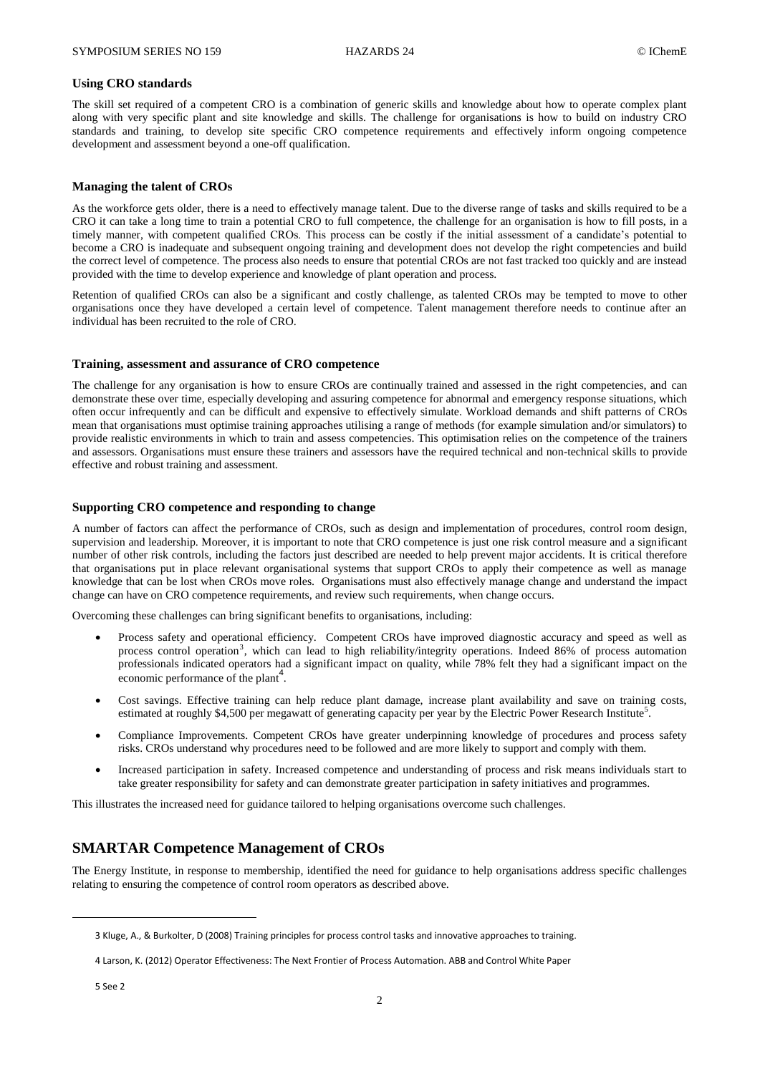#### **Using CRO standards**

The skill set required of a competent CRO is a combination of generic skills and knowledge about how to operate complex plant along with very specific plant and site knowledge and skills. The challenge for organisations is how to build on industry CRO standards and training, to develop site specific CRO competence requirements and effectively inform ongoing competence development and assessment beyond a one-off qualification.

### **Managing the talent of CROs**

As the workforce gets older, there is a need to effectively manage talent. Due to the diverse range of tasks and skills required to be a CRO it can take a long time to train a potential CRO to full competence, the challenge for an organisation is how to fill posts, in a timely manner, with competent qualified CROs. This process can be costly if the initial assessment of a candidate's potential to become a CRO is inadequate and subsequent ongoing training and development does not develop the right competencies and build the correct level of competence. The process also needs to ensure that potential CROs are not fast tracked too quickly and are instead provided with the time to develop experience and knowledge of plant operation and process.

Retention of qualified CROs can also be a significant and costly challenge, as talented CROs may be tempted to move to other organisations once they have developed a certain level of competence. Talent management therefore needs to continue after an individual has been recruited to the role of CRO.

#### **Training, assessment and assurance of CRO competence**

The challenge for any organisation is how to ensure CROs are continually trained and assessed in the right competencies, and can demonstrate these over time, especially developing and assuring competence for abnormal and emergency response situations, which often occur infrequently and can be difficult and expensive to effectively simulate. Workload demands and shift patterns of CROs mean that organisations must optimise training approaches utilising a range of methods (for example simulation and/or simulators) to provide realistic environments in which to train and assess competencies. This optimisation relies on the competence of the trainers and assessors. Organisations must ensure these trainers and assessors have the required technical and non-technical skills to provide effective and robust training and assessment.

#### **Supporting CRO competence and responding to change**

A number of factors can affect the performance of CROs, such as design and implementation of procedures, control room design, supervision and leadership. Moreover, it is important to note that CRO competence is just one risk control measure and a significant number of other risk controls, including the factors just described are needed to help prevent major accidents. It is critical therefore that organisations put in place relevant organisational systems that support CROs to apply their competence as well as manage knowledge that can be lost when CROs move roles. Organisations must also effectively manage change and understand the impact change can have on CRO competence requirements, and review such requirements, when change occurs.

Overcoming these challenges can bring significant benefits to organisations, including:

- Process safety and operational efficiency. Competent CROs have improved diagnostic accuracy and speed as well as process control operation<sup>3</sup>, which can lead to high reliability/integrity operations. Indeed 86% of process automation professionals indicated operators had a significant impact on quality, while 78% felt they had a significant impact on the economic performance of the plant<sup>4</sup>.
- Cost savings. Effective training can help reduce plant damage, increase plant availability and save on training costs, estimated at roughly \$4,500 per megawatt of generating capacity per year by the Electric Power Research Institute<sup>5</sup>.
- Compliance Improvements. Competent CROs have greater underpinning knowledge of procedures and process safety risks. CROs understand why procedures need to be followed and are more likely to support and comply with them.
- Increased participation in safety. Increased competence and understanding of process and risk means individuals start to take greater responsibility for safety and can demonstrate greater participation in safety initiatives and programmes.

This illustrates the increased need for guidance tailored to helping organisations overcome such challenges.

# **SMARTAR Competence Management of CROs**

The Energy Institute, in response to membership, identified the need for guidance to help organisations address specific challenges relating to ensuring the competence of control room operators as described above.

 $\overline{\phantom{a}}$ 

<sup>3</sup> Kluge, A., & Burkolter, D (2008) Training principles for process control tasks and innovative approaches to training.

<sup>4</sup> Larson, K. (2012) Operator Effectiveness: The Next Frontier of Process Automation. ABB and Control White Paper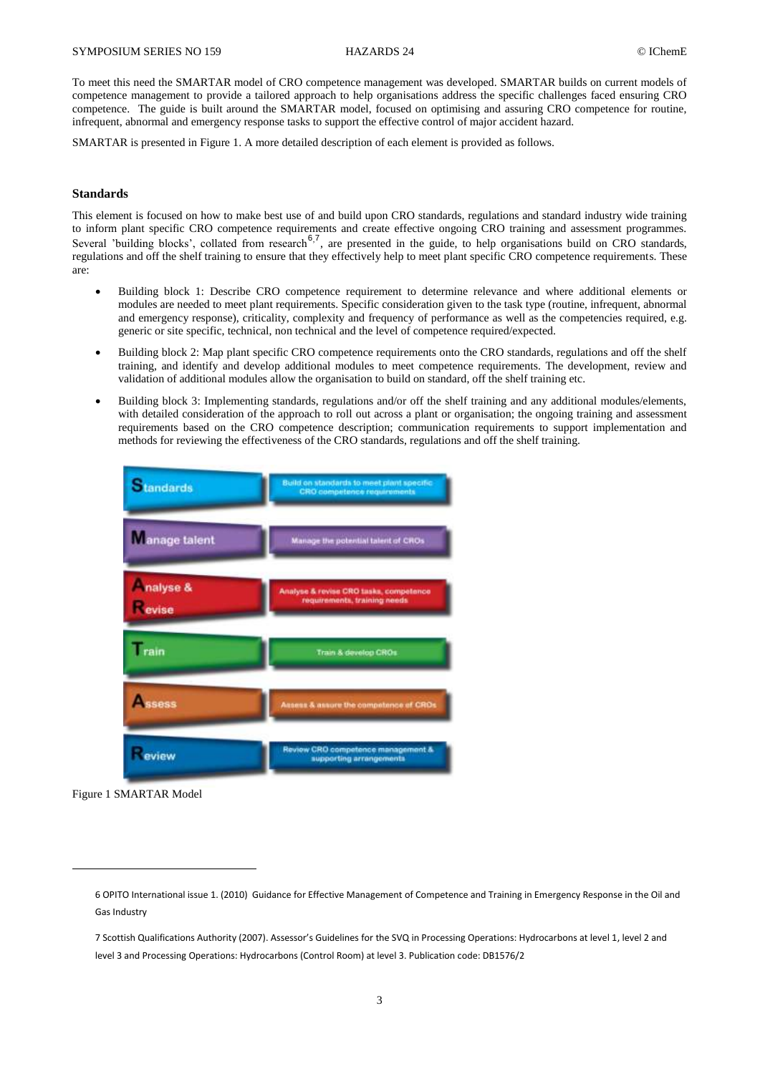To meet this need the SMARTAR model of CRO competence management was developed. SMARTAR builds on current models of competence management to provide a tailored approach to help organisations address the specific challenges faced ensuring CRO competence. The guide is built around the SMARTAR model, focused on optimising and assuring CRO competence for routine, infrequent, abnormal and emergency response tasks to support the effective control of major accident hazard.

SMARTAR is presented in Figure 1. A more detailed description of each element is provided as follows.

### **Standards**

This element is focused on how to make best use of and build upon CRO standards, regulations and standard industry wide training to inform plant specific CRO competence requirements and create effective ongoing CRO training and assessment programmes. Several 'building blocks', collated from research<sup>6,7</sup>, are presented in the guide, to help organisations build on CRO standards, regulations and off the shelf training to ensure that they effectively help to meet plant specific CRO competence requirements. These are:

- Building block 1: Describe CRO competence requirement to determine relevance and where additional elements or modules are needed to meet plant requirements. Specific consideration given to the task type (routine, infrequent, abnormal and emergency response), criticality, complexity and frequency of performance as well as the competencies required, e.g. generic or site specific, technical, non technical and the level of competence required/expected.
- Building block 2: Map plant specific CRO competence requirements onto the CRO standards, regulations and off the shelf training, and identify and develop additional modules to meet competence requirements. The development, review and validation of additional modules allow the organisation to build on standard, off the shelf training etc.
- Building block 3: Implementing standards, regulations and/or off the shelf training and any additional modules/elements, with detailed consideration of the approach to roll out across a plant or organisation; the ongoing training and assessment requirements based on the CRO competence description; communication requirements to support implementation and methods for reviewing the effectiveness of the CRO standards, regulations and off the shelf training.



Figure 1 SMARTAR Model

 $\overline{a}$ 

<sup>6</sup> OPITO International issue 1. (2010) Guidance for Effective Management of Competence and Training in Emergency Response in the Oil and Gas Industry

<sup>7</sup> Scottish Qualifications Authority (2007). Assessor's Guidelines for the SVQ in Processing Operations: Hydrocarbons at level 1, level 2 and level 3 and Processing Operations: Hydrocarbons (Control Room) at level 3. Publication code: DB1576/2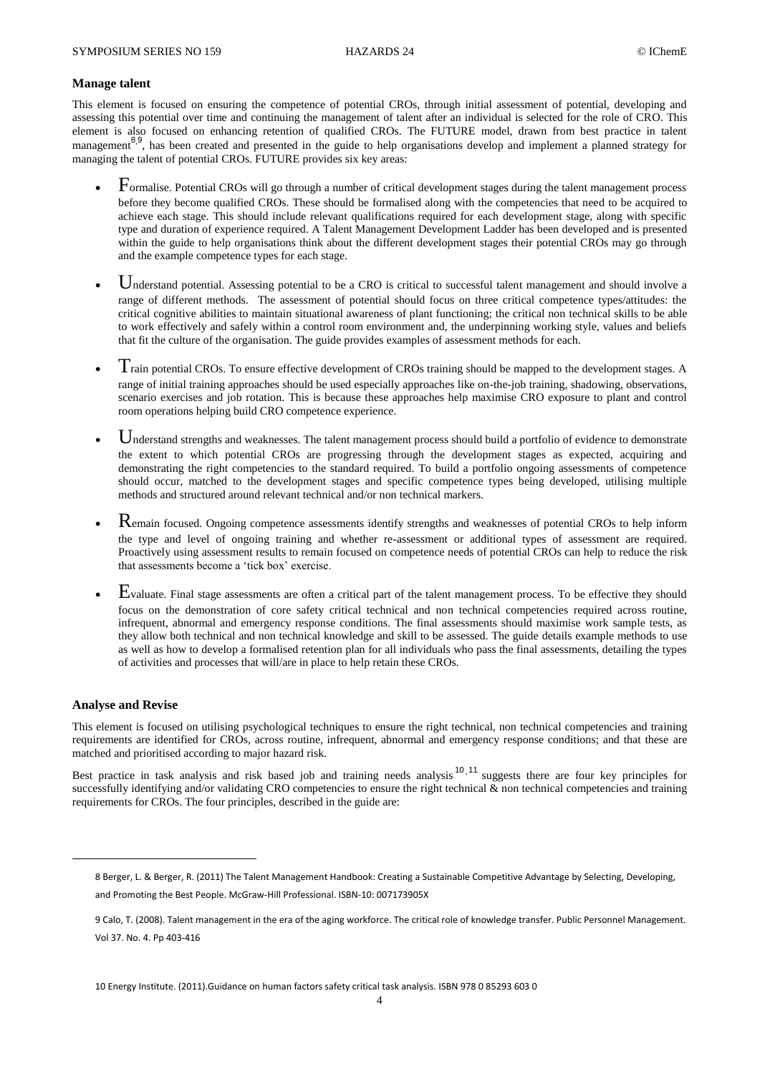### **Manage talent**

This element is focused on ensuring the competence of potential CROs, through initial assessment of potential, developing and assessing this potential over time and continuing the management of talent after an individual is selected for the role of CRO. This element is also focused on enhancing retention of qualified CROs. The FUTURE model, drawn from best practice in talent management<sup>8,9</sup>, has been created and presented in the guide to help organisations develop and implement a planned strategy for managing the talent of potential CROs. FUTURE provides six key areas:

- Formalise. Potential CROs will go through a number of critical development stages during the talent management process before they become qualified CROs. These should be formalised along with the competencies that need to be acquired to achieve each stage. This should include relevant qualifications required for each development stage, along with specific type and duration of experience required. A Talent Management Development Ladder has been developed and is presented within the guide to help organisations think about the different development stages their potential CROs may go through and the example competence types for each stage.
- Understand potential. Assessing potential to be a CRO is critical to successful talent management and should involve a range of different methods. The assessment of potential should focus on three critical competence types/attitudes: the critical cognitive abilities to maintain situational awareness of plant functioning; the critical non technical skills to be able to work effectively and safely within a control room environment and, the underpinning working style, values and beliefs that fit the culture of the organisation. The guide provides examples of assessment methods for each.
- $T$ rain potential CROs. To ensure effective development of CROs training should be mapped to the development stages. A range of initial training approaches should be used especially approaches like on-the-job training, shadowing, observations, scenario exercises and job rotation. This is because these approaches help maximise CRO exposure to plant and control room operations helping build CRO competence experience.
- Understand strengths and weaknesses. The talent management process should build a portfolio of evidence to demonstrate the extent to which potential CROs are progressing through the development stages as expected, acquiring and demonstrating the right competencies to the standard required. To build a portfolio ongoing assessments of competence should occur, matched to the development stages and specific competence types being developed, utilising multiple methods and structured around relevant technical and/or non technical markers.
- Remain focused. Ongoing competence assessments identify strengths and weaknesses of potential CROs to help inform the type and level of ongoing training and whether re-assessment or additional types of assessment are required. Proactively using assessment results to remain focused on competence needs of potential CROs can help to reduce the risk that assessments become a 'tick box' exercise.
- Evaluate. Final stage assessments are often a critical part of the talent management process. To be effective they should focus on the demonstration of core safety critical technical and non technical competencies required across routine, infrequent, abnormal and emergency response conditions. The final assessments should maximise work sample tests, as they allow both technical and non technical knowledge and skill to be assessed. The guide details example methods to use as well as how to develop a formalised retention plan for all individuals who pass the final assessments, detailing the types of activities and processes that will/are in place to help retain these CROs.

### **Analyse and Revise**

 $\overline{\phantom{a}}$ 

This element is focused on utilising psychological techniques to ensure the right technical, non technical competencies and training requirements are identified for CROs, across routine, infrequent, abnormal and emergency response conditions; and that these are matched and prioritised according to major hazard risk.

Best practice in task analysis and risk based job and training needs analysis<sup>10, 11</sup> suggests there are four key principles for successfully identifying and/or validating CRO competencies to ensure the right technical & non technical competencies and training requirements for CROs. The four principles, described in the guide are:

<sup>8</sup> Berger, L. & Berger, R. (2011) The Talent Management Handbook: Creating a Sustainable Competitive Advantage by Selecting, Developing,

and Promoting the Best People. McGraw-Hill Professional. ISBN-10: 007173905X

<sup>9</sup> Calo, T. (2008). Talent management in the era of the aging workforce. The critical role of knowledge transfer. Public Personnel Management. Vol 37. No. 4. Pp 403-416

<sup>10</sup> Energy Institute. (2011).Guidance on human factors safety critical task analysis. ISBN 978 0 85293 603 0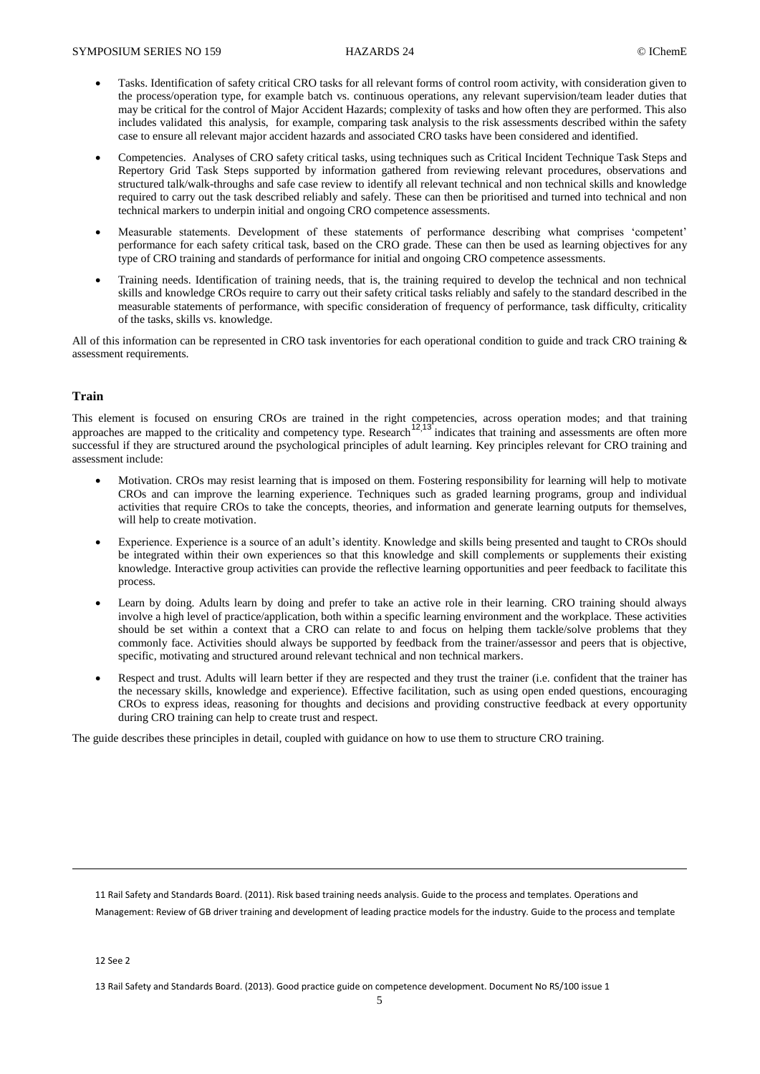- Tasks. Identification of safety critical CRO tasks for all relevant forms of control room activity, with consideration given to the process/operation type, for example batch vs. continuous operations, any relevant supervision/team leader duties that may be critical for the control of Major Accident Hazards; complexity of tasks and how often they are performed. This also includes validated this analysis, for example, comparing task analysis to the risk assessments described within the safety case to ensure all relevant major accident hazards and associated CRO tasks have been considered and identified.
- Competencies. Analyses of CRO safety critical tasks, using techniques such as Critical Incident Technique Task Steps and Repertory Grid Task Steps supported by information gathered from reviewing relevant procedures, observations and structured talk/walk-throughs and safe case review to identify all relevant technical and non technical skills and knowledge required to carry out the task described reliably and safely. These can then be prioritised and turned into technical and non technical markers to underpin initial and ongoing CRO competence assessments.
- Measurable statements. Development of these statements of performance describing what comprises 'competent' performance for each safety critical task, based on the CRO grade. These can then be used as learning objectives for any type of CRO training and standards of performance for initial and ongoing CRO competence assessments.
- Training needs. Identification of training needs, that is, the training required to develop the technical and non technical skills and knowledge CROs require to carry out their safety critical tasks reliably and safely to the standard described in the measurable statements of performance, with specific consideration of frequency of performance, task difficulty, criticality of the tasks, skills vs. knowledge.

All of this information can be represented in CRO task inventories for each operational condition to guide and track CRO training & assessment requirements.

#### **Train**

This element is focused on ensuring CROs are trained in the right competencies, across operation modes; and that training approaches are mapped to the criticality and competency type. Research<sup>12,13</sup> indicates that training and assessments are often more successful if they are structured around the psychological principles of adult learning. Key principles relevant for CRO training and assessment include:

- Motivation. CROs may resist learning that is imposed on them. Fostering responsibility for learning will help to motivate CROs and can improve the learning experience. Techniques such as graded learning programs, group and individual activities that require CROs to take the concepts, theories, and information and generate learning outputs for themselves, will help to create motivation.
- Experience. Experience is a source of an adult's identity. Knowledge and skills being presented and taught to CROs should be integrated within their own experiences so that this knowledge and skill complements or supplements their existing knowledge. Interactive group activities can provide the reflective learning opportunities and peer feedback to facilitate this process.
- Learn by doing. Adults learn by doing and prefer to take an active role in their learning. CRO training should always involve a high level of practice/application, both within a specific learning environment and the workplace. These activities should be set within a context that a CRO can relate to and focus on helping them tackle/solve problems that they commonly face. Activities should always be supported by feedback from the trainer/assessor and peers that is objective, specific, motivating and structured around relevant technical and non technical markers.
- Respect and trust. Adults will learn better if they are respected and they trust the trainer (i.e. confident that the trainer has the necessary skills, knowledge and experience). Effective facilitation, such as using open ended questions, encouraging CROs to express ideas, reasoning for thoughts and decisions and providing constructive feedback at every opportunity during CRO training can help to create trust and respect.

The guide describes these principles in detail, coupled with guidance on how to use them to structure CRO training.

11 Rail Safety and Standards Board. (2011). Risk based training needs analysis. Guide to the process and templates. Operations and Management: Review of GB driver training and development of leading practice models for the industry. Guide to the process and template

12 See 2

 $\overline{a}$ 

<sup>13</sup> Rail Safety and Standards Board. (2013). Good practice guide on competence development. Document No RS/100 issue 1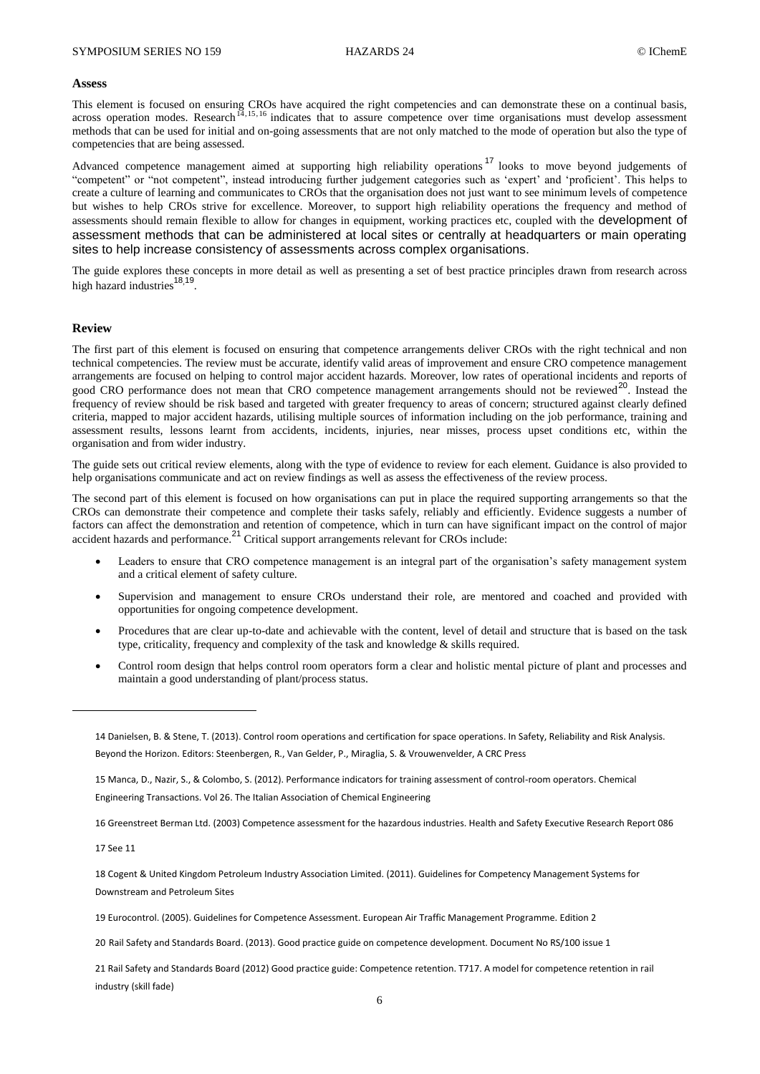#### **Assess**

This element is focused on ensuring CROs have acquired the right competencies and can demonstrate these on a continual basis, across operation modes. Research<sup>14,15,16</sup> indicates that to assure competence over time organisations must develop assessment methods that can be used for initial and on-going assessments that are not only matched to the mode of operation but also the type of competencies that are being assessed.

Advanced competence management aimed at supporting high reliability operations<sup>17</sup> looks to move beyond judgements of "competent" or "not competent", instead introducing further judgement categories such as 'expert' and 'proficient'. This helps to create a culture of learning and communicates to CROs that the organisation does not just want to see minimum levels of competence but wishes to help CROs strive for excellence. Moreover, to support high reliability operations the frequency and method of assessments should remain flexible to allow for changes in equipment, working practices etc, coupled with the development of assessment methods that can be administered at local sites or centrally at headquarters or main operating sites to help increase consistency of assessments across complex organisations.

The guide explores these concepts in more detail as well as presenting a set of best practice principles drawn from research across high hazard industries<sup>18,19</sup>.

#### **Review**

The first part of this element is focused on ensuring that competence arrangements deliver CROs with the right technical and non technical competencies. The review must be accurate, identify valid areas of improvement and ensure CRO competence management arrangements are focused on helping to control major accident hazards. Moreover, low rates of operational incidents and reports of good CRO performance does not mean that CRO competence management arrangements should not be reviewed<sup>20</sup>. Instead the frequency of review should be risk based and targeted with greater frequency to areas of concern; structured against clearly defined criteria, mapped to major accident hazards, utilising multiple sources of information including on the job performance, training and assessment results, lessons learnt from accidents, incidents, injuries, near misses, process upset conditions etc, within the organisation and from wider industry.

The guide sets out critical review elements, along with the type of evidence to review for each element. Guidance is also provided to help organisations communicate and act on review findings as well as assess the effectiveness of the review process.

The second part of this element is focused on how organisations can put in place the required supporting arrangements so that the CROs can demonstrate their competence and complete their tasks safely, reliably and efficiently. Evidence suggests a number of factors can affect the demonstration and retention of competence, which in turn can have significant impact on the control of major accident hazards and performance.<sup>21</sup> Critical support arrangements relevant for CROs include:

- Leaders to ensure that CRO competence management is an integral part of the organisation's safety management system and a critical element of safety culture.
- Supervision and management to ensure CROs understand their role, are mentored and coached and provided with opportunities for ongoing competence development.
- Procedures that are clear up-to-date and achievable with the content, level of detail and structure that is based on the task type, criticality, frequency and complexity of the task and knowledge & skills required.
- Control room design that helps control room operators form a clear and holistic mental picture of plant and processes and maintain a good understanding of plant/process status.

16 Greenstreet Berman Ltd. (2003) Competence assessment for the hazardous industries. Health and Safety Executive Research Report 086

17 See 11

 $\overline{\phantom{a}}$ 

18 Cogent & United Kingdom Petroleum Industry Association Limited. (2011). Guidelines for Competency Management Systems for Downstream and Petroleum Sites

19 Eurocontrol. (2005). Guidelines for Competence Assessment. European Air Traffic Management Programme. Edition 2

20 Rail Safety and Standards Board. (2013). Good practice guide on competence development. Document No RS/100 issue 1

21 Rail Safety and Standards Board (2012) Good practice guide: Competence retention. T717. A model for competence retention in rail industry (skill fade)

<sup>14</sup> Danielsen, B. & Stene, T. (2013). Control room operations and certification for space operations. In Safety, Reliability and Risk Analysis. Beyond the Horizon. Editors: Steenbergen, R., Van Gelder, P., Miraglia, S. & Vrouwenvelder, A CRC Press

<sup>15</sup> Manca, D., Nazir, S., & Colombo, S. (2012). Performance indicators for training assessment of control-room operators. Chemical Engineering Transactions. Vol 26. The Italian Association of Chemical Engineering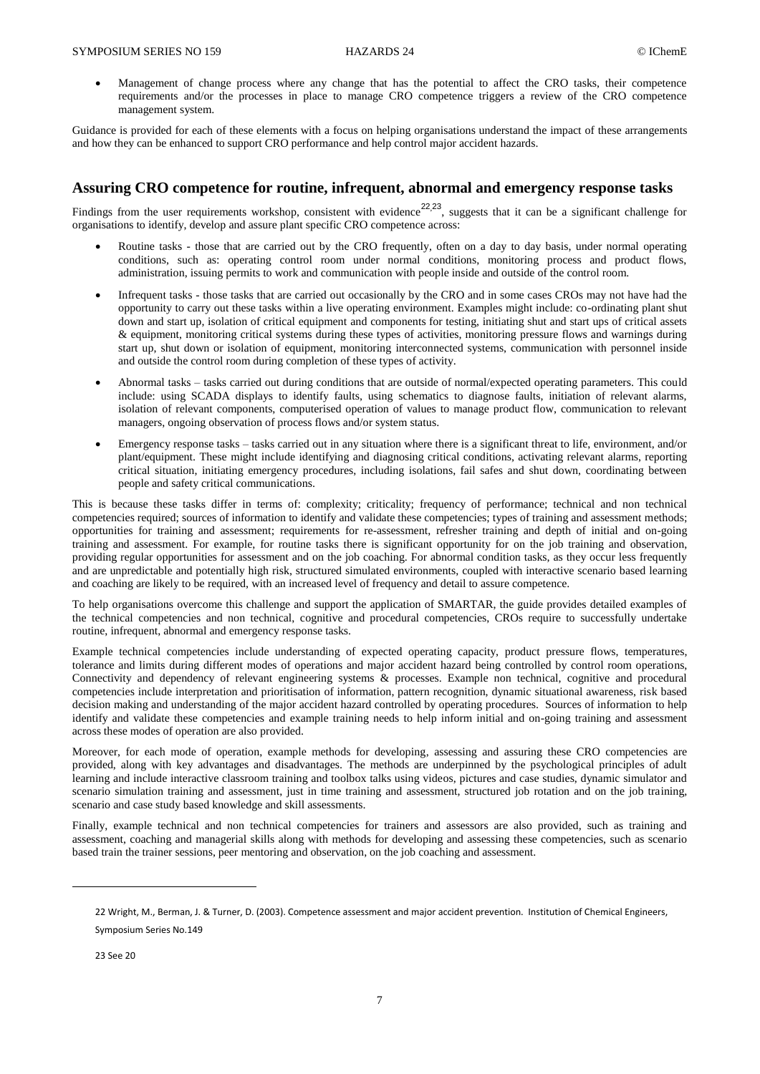Management of change process where any change that has the potential to affect the CRO tasks, their competence requirements and/or the processes in place to manage CRO competence triggers a review of the CRO competence management system.

Guidance is provided for each of these elements with a focus on helping organisations understand the impact of these arrangements and how they can be enhanced to support CRO performance and help control major accident hazards.

# **Assuring CRO competence for routine, infrequent, abnormal and emergency response tasks**

Findings from the user requirements workshop, consistent with evidence<sup>22,23</sup>, suggests that it can be a significant challenge for organisations to identify, develop and assure plant specific CRO competence across:

- Routine tasks those that are carried out by the CRO frequently, often on a day to day basis, under normal operating conditions, such as: operating control room under normal conditions, monitoring process and product flows, administration, issuing permits to work and communication with people inside and outside of the control room.
- Infrequent tasks those tasks that are carried out occasionally by the CRO and in some cases CROs may not have had the opportunity to carry out these tasks within a live operating environment. Examples might include: co-ordinating plant shut down and start up, isolation of critical equipment and components for testing, initiating shut and start ups of critical assets & equipment, monitoring critical systems during these types of activities, monitoring pressure flows and warnings during start up, shut down or isolation of equipment, monitoring interconnected systems, communication with personnel inside and outside the control room during completion of these types of activity.
- Abnormal tasks tasks carried out during conditions that are outside of normal/expected operating parameters. This could include: using SCADA displays to identify faults, using schematics to diagnose faults, initiation of relevant alarms, isolation of relevant components, computerised operation of values to manage product flow, communication to relevant managers, ongoing observation of process flows and/or system status.
- Emergency response tasks tasks carried out in any situation where there is a significant threat to life, environment, and/or plant/equipment. These might include identifying and diagnosing critical conditions, activating relevant alarms, reporting critical situation, initiating emergency procedures, including isolations, fail safes and shut down, coordinating between people and safety critical communications.

This is because these tasks differ in terms of: complexity; criticality; frequency of performance; technical and non technical competencies required; sources of information to identify and validate these competencies; types of training and assessment methods; opportunities for training and assessment; requirements for re-assessment, refresher training and depth of initial and on-going training and assessment. For example, for routine tasks there is significant opportunity for on the job training and observation, providing regular opportunities for assessment and on the job coaching. For abnormal condition tasks, as they occur less frequently and are unpredictable and potentially high risk, structured simulated environments, coupled with interactive scenario based learning and coaching are likely to be required, with an increased level of frequency and detail to assure competence.

To help organisations overcome this challenge and support the application of SMARTAR, the guide provides detailed examples of the technical competencies and non technical, cognitive and procedural competencies, CROs require to successfully undertake routine, infrequent, abnormal and emergency response tasks.

Example technical competencies include understanding of expected operating capacity, product pressure flows, temperatures, tolerance and limits during different modes of operations and major accident hazard being controlled by control room operations, Connectivity and dependency of relevant engineering systems & processes. Example non technical, cognitive and procedural competencies include interpretation and prioritisation of information, pattern recognition, dynamic situational awareness, risk based decision making and understanding of the major accident hazard controlled by operating procedures. Sources of information to help identify and validate these competencies and example training needs to help inform initial and on-going training and assessment across these modes of operation are also provided.

Moreover, for each mode of operation, example methods for developing, assessing and assuring these CRO competencies are provided, along with key advantages and disadvantages. The methods are underpinned by the psychological principles of adult learning and include interactive classroom training and toolbox talks using videos, pictures and case studies, dynamic simulator and scenario simulation training and assessment, just in time training and assessment, structured job rotation and on the job training, scenario and case study based knowledge and skill assessments.

Finally, example technical and non technical competencies for trainers and assessors are also provided, such as training and assessment, coaching and managerial skills along with methods for developing and assessing these competencies, such as scenario based train the trainer sessions, peer mentoring and observation, on the job coaching and assessment.

23 See 20

 $\overline{a}$ 

<sup>22</sup> Wright, M., Berman, J. & Turner, D. (2003). Competence assessment and major accident prevention. Institution of Chemical Engineers, Symposium Series No.149